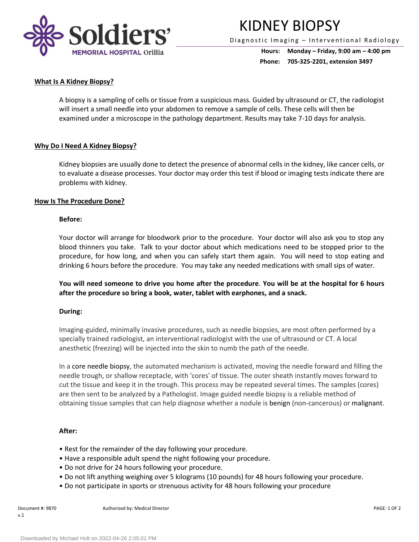

# KIDNEY BIOPSY

Diagnostic Imaging - Interventional Radiology

**Hours: Monday – Friday, 9:00 am – 4:00 pm Phone: 705-325-2201, extension 3497**

# **What Is A Kidney Biopsy?**

A biopsy is a sampling of cells or tissue from a suspicious mass. Guided by ultrasound or CT, the radiologist will insert a small needle into your abdomen to remove a sample of cells. These cells will then be examined under a microscope in the pathology department. Results may take 7-10 days for analysis.

## **Why Do I Need A Kidney Biopsy?**

Kidney biopsies are usually done to detect the presence of abnormal cells in the kidney, like cancer cells, or to evaluate a disease processes. Your doctor may order this test if blood or imaging tests indicate there are problems with kidney.

### **How Is The Procedure Done?**

### **Before:**

Your doctor will arrange for bloodwork prior to the procedure. Your doctor will also ask you to stop any blood thinners you take. Talk to your doctor about which medications need to be stopped prior to the procedure, for how long, and when you can safely start them again. You will need to stop eating and drinking 6 hours before the procedure. You may take any needed medications with small sips of water.

**You will need someone to drive you home after the procedure**. **You will be at the hospital for 6 hours after the procedure so bring a book, water, tablet with earphones, and a snack.**

### **During:**

Imaging-guided, minimally invasive procedures, such as needle biopsies, are most often performed by a specially trained radiologist, an interventional radiologist with the use of ultrasound or CT. A local anesthetic (freezing) will be injected into the skin to numb the path of the needle.

In a core needle biopsy, the automated mechanism is activated, moving the needle forward and filling the needle trough, or shallow receptacle, with 'cores' of tissue. The outer sheath instantly moves forward to cut the tissue and keep it in the trough. This process may be repeated several times. The samples (cores) are then sent to be analyzed by a Pathologist. Image guided needle biopsy is a reliable method of obtaining tissue samples that can help diagnose whether a nodule is benign (non-cancerous) or malignant.

### **After:**

- Rest for the remainder of the day following your procedure.
- Have a responsible adult spend the night following your procedure.
- Do not drive for 24 hours following your procedure.
- Do not lift anything weighing over 5 kilograms (10 pounds) for 48 hours following your procedure.
- Do not participate in sports or strenuous activity for 48 hours following your procedure